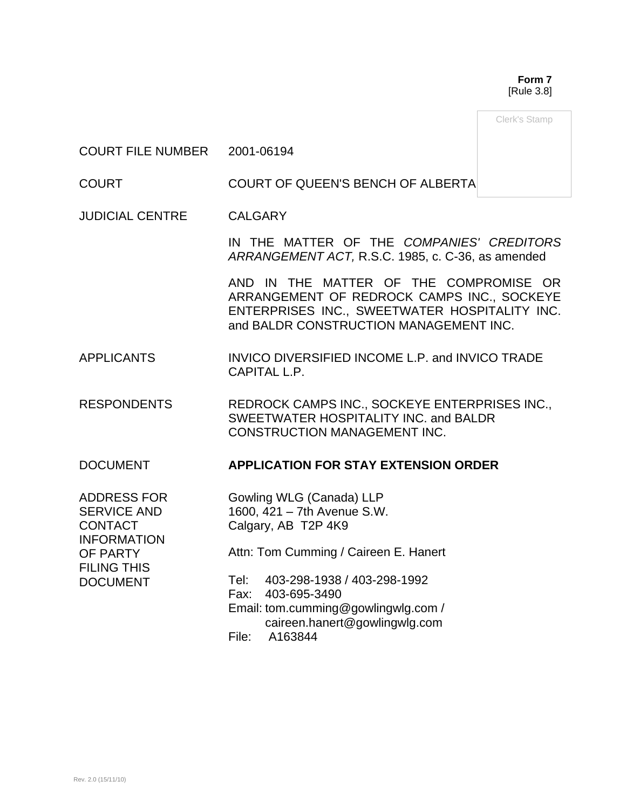**Form 7** [Rule 3.8]

Clerk's Stamp

#### COURT FILE NUMBER 2001-06194

COURT COURT OF QUEEN'S BENCH OF ALBERTA

JUDICIAL CENTRE CALGARY

IN THE MATTER OF THE *COMPANIES' CREDITORS ARRANGEMENT ACT,* R.S.C. 1985, c. C-36, as amended

AND IN THE MATTER OF THE COMPROMISE OR ARRANGEMENT OF REDROCK CAMPS INC., SOCKEYE ENTERPRISES INC., SWEETWATER HOSPITALITY INC. and BALDR CONSTRUCTION MANAGEMENT INC.

- APPLICANTS INVICO DIVERSIFIED INCOME L.P. and INVICO TRADE CAPITAL L.P.
- RESPONDENTS REDROCK CAMPS INC., SOCKEYE ENTERPRISES INC., SWEETWATER HOSPITALITY INC. and BALDR CONSTRUCTION MANAGEMENT INC.

## DOCUMENT **APPLICATION FOR STAY EXTENSION ORDER**

ADDRESS FOR SERVICE AND **CONTACT** INFORMATION OF PARTY FILING THIS DOCUMENT

Gowling WLG (Canada) LLP 1600, 421 – 7th Avenue S.W. Calgary, AB T2P 4K9

Attn: Tom Cumming / Caireen E. Hanert

Tel: 403-298-1938 / 403-298-1992 Fax: 403-695-3490 Email: tom.cumming@gowlingwlg.com / caireen.hanert@gowlingwlg.com File: A163844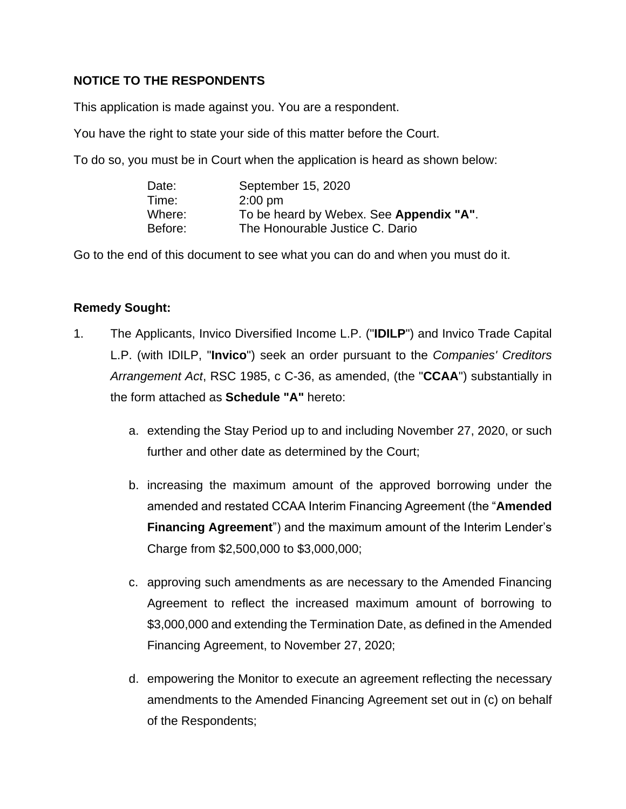## **NOTICE TO THE RESPONDENTS**

This application is made against you. You are a respondent.

You have the right to state your side of this matter before the Court.

To do so, you must be in Court when the application is heard as shown below:

| Date:   | September 15, 2020                      |
|---------|-----------------------------------------|
| Time:   | $2:00 \text{ pm}$                       |
| Where:  | To be heard by Webex. See Appendix "A". |
| Before: | The Honourable Justice C. Dario         |

Go to the end of this document to see what you can do and when you must do it.

## **Remedy Sought:**

- 1. The Applicants, Invico Diversified Income L.P. ("**IDILP**") and Invico Trade Capital L.P. (with IDILP, "**Invico**") seek an order pursuant to the *Companies' Creditors Arrangement Act*, RSC 1985, c C-36, as amended, (the "**CCAA**") substantially in the form attached as **Schedule "A"** hereto:
	- a. extending the Stay Period up to and including November 27, 2020, or such further and other date as determined by the Court;
	- b. increasing the maximum amount of the approved borrowing under the amended and restated CCAA Interim Financing Agreement (the "**Amended Financing Agreement**") and the maximum amount of the Interim Lender's Charge from \$2,500,000 to \$3,000,000;
	- c. approving such amendments as are necessary to the Amended Financing Agreement to reflect the increased maximum amount of borrowing to \$3,000,000 and extending the Termination Date, as defined in the Amended Financing Agreement, to November 27, 2020;
	- d. empowering the Monitor to execute an agreement reflecting the necessary amendments to the Amended Financing Agreement set out in (c) on behalf of the Respondents;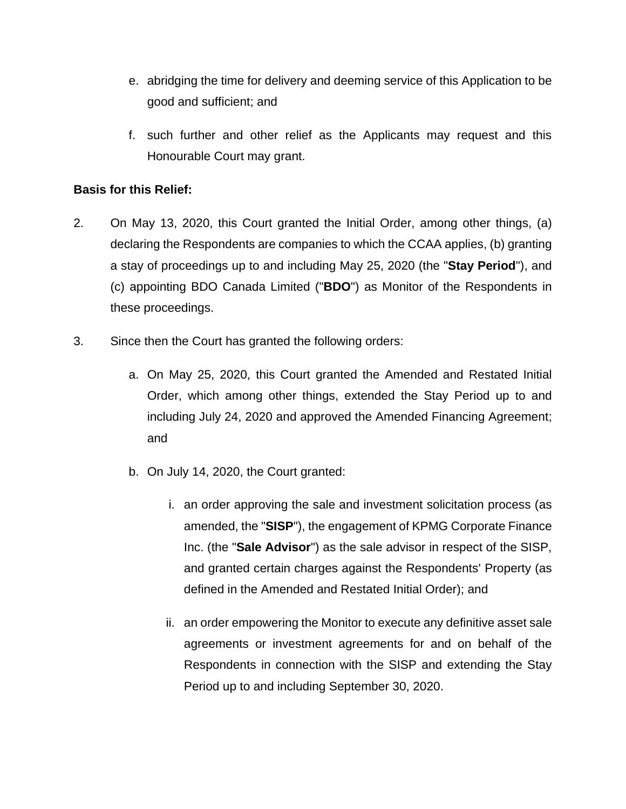- e. abridging the time for delivery and deeming service of this Application to be good and sufficient; and
- f. such further and other relief as the Applicants may request and this Honourable Court may grant.

## **Basis for this Relief:**

- 2. On May 13, 2020, this Court granted the Initial Order, among other things, (a) declaring the Respondents are companies to which the CCAA applies, (b) granting a stay of proceedings up to and including May 25, 2020 (the "**Stay Period**"), and (c) appointing BDO Canada Limited ("**BDO**") as Monitor of the Respondents in these proceedings.
- 3. Since then the Court has granted the following orders:
	- a. On May 25, 2020, this Court granted the Amended and Restated Initial Order, which among other things, extended the Stay Period up to and including July 24, 2020 and approved the Amended Financing Agreement; and
	- b. On July 14, 2020, the Court granted:
		- i. an order approving the sale and investment solicitation process (as amended, the "**SISP**"), the engagement of KPMG Corporate Finance Inc. (the "**Sale Advisor**") as the sale advisor in respect of the SISP, and granted certain charges against the Respondents' Property (as defined in the Amended and Restated Initial Order); and
		- ii. an order empowering the Monitor to execute any definitive asset sale agreements or investment agreements for and on behalf of the Respondents in connection with the SISP and extending the Stay Period up to and including September 30, 2020.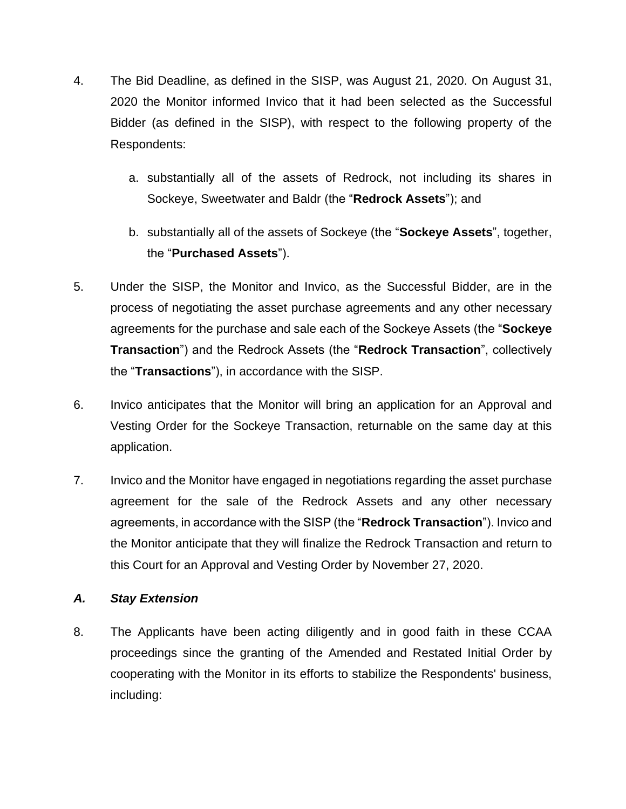- 4. The Bid Deadline, as defined in the SISP, was August 21, 2020. On August 31, 2020 the Monitor informed Invico that it had been selected as the Successful Bidder (as defined in the SISP), with respect to the following property of the Respondents:
	- a. substantially all of the assets of Redrock, not including its shares in Sockeye, Sweetwater and Baldr (the "**Redrock Assets**"); and
	- b. substantially all of the assets of Sockeye (the "**Sockeye Assets**", together, the "**Purchased Assets**").
- 5. Under the SISP, the Monitor and Invico, as the Successful Bidder, are in the process of negotiating the asset purchase agreements and any other necessary agreements for the purchase and sale each of the Sockeye Assets (the "**Sockeye Transaction**") and the Redrock Assets (the "**Redrock Transaction**", collectively the "**Transactions**"), in accordance with the SISP.
- 6. Invico anticipates that the Monitor will bring an application for an Approval and Vesting Order for the Sockeye Transaction, returnable on the same day at this application.
- 7. Invico and the Monitor have engaged in negotiations regarding the asset purchase agreement for the sale of the Redrock Assets and any other necessary agreements, in accordance with the SISP (the "**Redrock Transaction**"). Invico and the Monitor anticipate that they will finalize the Redrock Transaction and return to this Court for an Approval and Vesting Order by November 27, 2020.

## *A. Stay Extension*

8. The Applicants have been acting diligently and in good faith in these CCAA proceedings since the granting of the Amended and Restated Initial Order by cooperating with the Monitor in its efforts to stabilize the Respondents' business, including: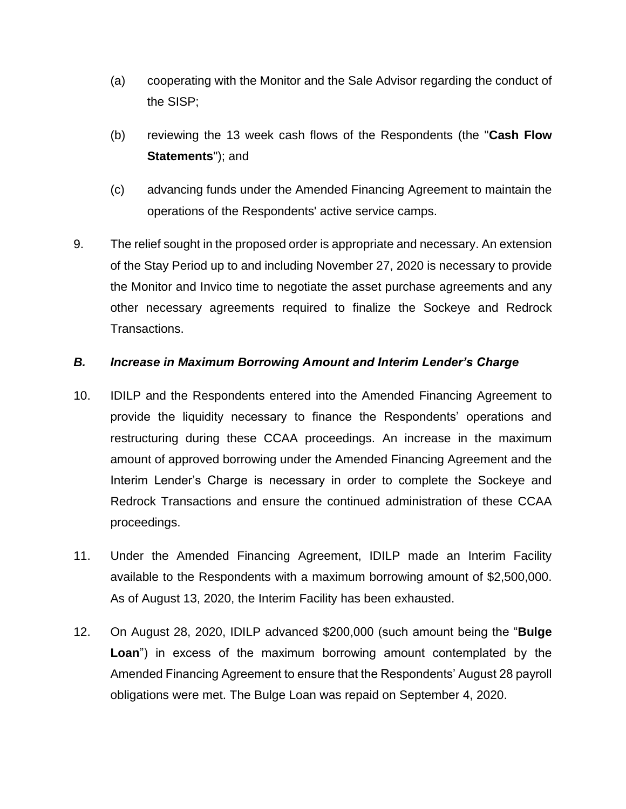- (a) cooperating with the Monitor and the Sale Advisor regarding the conduct of the SISP;
- (b) reviewing the 13 week cash flows of the Respondents (the "**Cash Flow Statements**"); and
- (c) advancing funds under the Amended Financing Agreement to maintain the operations of the Respondents' active service camps.
- 9. The relief sought in the proposed order is appropriate and necessary. An extension of the Stay Period up to and including November 27, 2020 is necessary to provide the Monitor and Invico time to negotiate the asset purchase agreements and any other necessary agreements required to finalize the Sockeye and Redrock Transactions.

## *B. Increase in Maximum Borrowing Amount and Interim Lender's Charge*

- 10. IDILP and the Respondents entered into the Amended Financing Agreement to provide the liquidity necessary to finance the Respondents' operations and restructuring during these CCAA proceedings. An increase in the maximum amount of approved borrowing under the Amended Financing Agreement and the Interim Lender's Charge is necessary in order to complete the Sockeye and Redrock Transactions and ensure the continued administration of these CCAA proceedings.
- 11. Under the Amended Financing Agreement, IDILP made an Interim Facility available to the Respondents with a maximum borrowing amount of \$2,500,000. As of August 13, 2020, the Interim Facility has been exhausted.
- 12. On August 28, 2020, IDILP advanced \$200,000 (such amount being the "**Bulge Loan**") in excess of the maximum borrowing amount contemplated by the Amended Financing Agreement to ensure that the Respondents' August 28 payroll obligations were met. The Bulge Loan was repaid on September 4, 2020.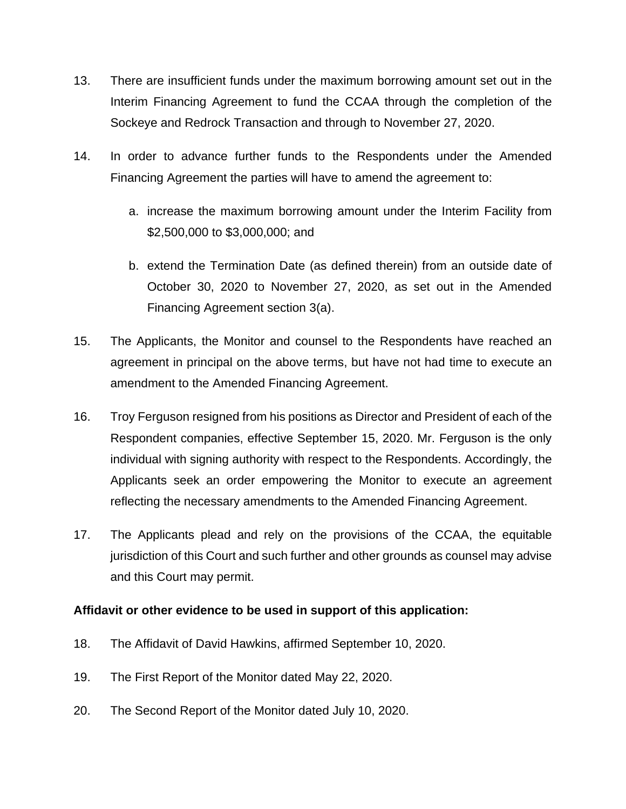- 13. There are insufficient funds under the maximum borrowing amount set out in the Interim Financing Agreement to fund the CCAA through the completion of the Sockeye and Redrock Transaction and through to November 27, 2020.
- 14. In order to advance further funds to the Respondents under the Amended Financing Agreement the parties will have to amend the agreement to:
	- a. increase the maximum borrowing amount under the Interim Facility from \$2,500,000 to \$3,000,000; and
	- b. extend the Termination Date (as defined therein) from an outside date of October 30, 2020 to November 27, 2020, as set out in the Amended Financing Agreement section 3(a).
- 15. The Applicants, the Monitor and counsel to the Respondents have reached an agreement in principal on the above terms, but have not had time to execute an amendment to the Amended Financing Agreement.
- 16. Troy Ferguson resigned from his positions as Director and President of each of the Respondent companies, effective September 15, 2020. Mr. Ferguson is the only individual with signing authority with respect to the Respondents. Accordingly, the Applicants seek an order empowering the Monitor to execute an agreement reflecting the necessary amendments to the Amended Financing Agreement.
- 17. The Applicants plead and rely on the provisions of the CCAA, the equitable jurisdiction of this Court and such further and other grounds as counsel may advise and this Court may permit.

## **Affidavit or other evidence to be used in support of this application:**

- 18. The Affidavit of David Hawkins, affirmed September 10, 2020.
- 19. The First Report of the Monitor dated May 22, 2020.
- 20. The Second Report of the Monitor dated July 10, 2020.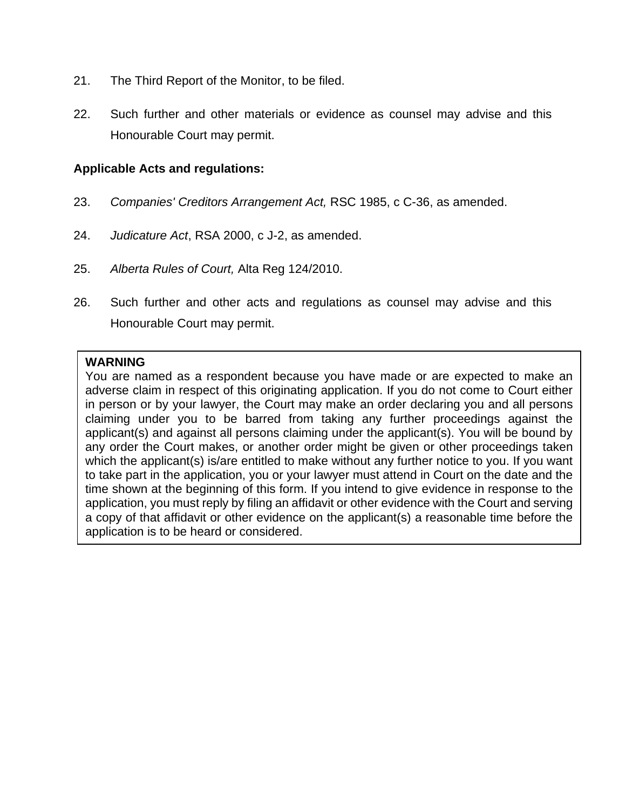- 21. The Third Report of the Monitor, to be filed.
- 22. Such further and other materials or evidence as counsel may advise and this Honourable Court may permit.

#### **Applicable Acts and regulations:**

- 23. *Companies' Creditors Arrangement Act,* RSC 1985, c C-36, as amended.
- 24. *Judicature Act*, RSA 2000, c J-2, as amended.
- 25. *Alberta Rules of Court,* Alta Reg 124/2010.
- 26. Such further and other acts and regulations as counsel may advise and this Honourable Court may permit.

#### **WARNING**

You are named as a respondent because you have made or are expected to make an adverse claim in respect of this originating application. If you do not come to Court either in person or by your lawyer, the Court may make an order declaring you and all persons claiming under you to be barred from taking any further proceedings against the applicant(s) and against all persons claiming under the applicant(s). You will be bound by any order the Court makes, or another order might be given or other proceedings taken which the applicant(s) is/are entitled to make without any further notice to you. If you want to take part in the application, you or your lawyer must attend in Court on the date and the time shown at the beginning of this form. If you intend to give evidence in response to the application, you must reply by filing an affidavit or other evidence with the Court and serving a copy of that affidavit or other evidence on the applicant(s) a reasonable time before the application is to be heard or considered.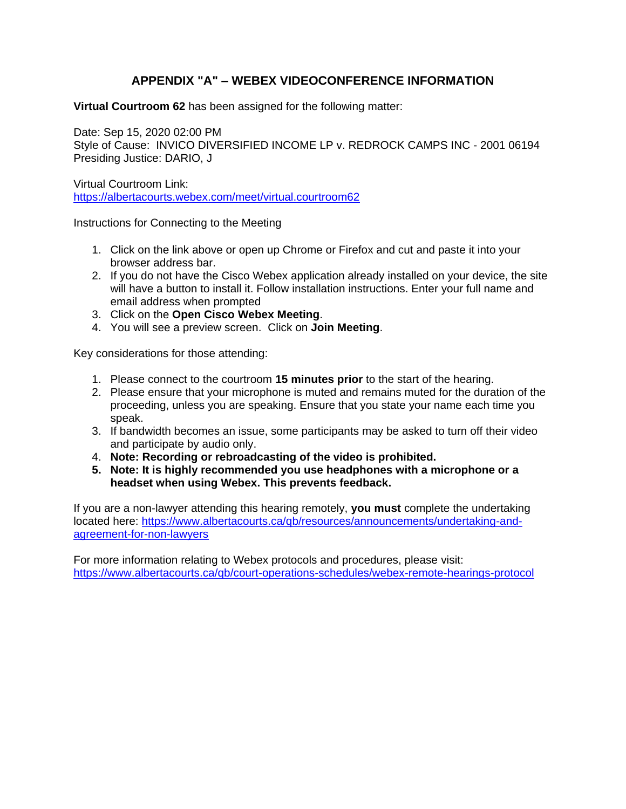## **APPENDIX "A" – WEBEX VIDEOCONFERENCE INFORMATION**

**Virtual Courtroom 62** has been assigned for the following matter:

Date: Sep 15, 2020 02:00 PM Style of Cause: INVICO DIVERSIFIED INCOME LP v. REDROCK CAMPS INC - 2001 06194 Presiding Justice: DARIO, J

Virtual Courtroom Link: <https://albertacourts.webex.com/meet/virtual.courtroom62>

Instructions for Connecting to the Meeting

- 1. Click on the link above or open up Chrome or Firefox and cut and paste it into your browser address bar.
- 2. If you do not have the Cisco Webex application already installed on your device, the site will have a button to install it. Follow installation instructions. Enter your full name and email address when prompted
- 3. Click on the **Open Cisco Webex Meeting**.
- 4. You will see a preview screen. Click on **Join Meeting**.

Key considerations for those attending:

- 1. Please connect to the courtroom **15 minutes prior** to the start of the hearing.
- 2. Please ensure that your microphone is muted and remains muted for the duration of the proceeding, unless you are speaking. Ensure that you state your name each time you speak.
- 3. If bandwidth becomes an issue, some participants may be asked to turn off their video and participate by audio only.
- 4. **Note: Recording or rebroadcasting of the video is prohibited.**
- **5. Note: It is highly recommended you use headphones with a microphone or a headset when using Webex. This prevents feedback.**

If you are a non-lawyer attending this hearing remotely, **you must** complete the undertaking located here: [https://www.albertacourts.ca/qb/resources/announcements/undertaking-and](https://urldefense.proofpoint.com/v2/url?u=https-3A__www.albertacourts.ca_qb_resources_announcements_undertaking-2Dand-2Dagreement-2Dfor-2Dnon-2Dlawyers&d=DwMF-g&c=d0WXBk_Z-g8VkGhzz_gPiQ&r=WegJx6VHW60t7cHQa1zhu52nW4WCsRLvMGRDvjxQ8S8&m=BjwG1nQ_NGGZdWyLaVnqUW9yVTFqqoHiJTq6K9BQF-k&s=WYjLsGKXKo_oZJvzfzX1XEqb0IAoorgcsxG0S9erf44&e=)[agreement-for-non-lawyers](https://urldefense.proofpoint.com/v2/url?u=https-3A__www.albertacourts.ca_qb_resources_announcements_undertaking-2Dand-2Dagreement-2Dfor-2Dnon-2Dlawyers&d=DwMF-g&c=d0WXBk_Z-g8VkGhzz_gPiQ&r=WegJx6VHW60t7cHQa1zhu52nW4WCsRLvMGRDvjxQ8S8&m=BjwG1nQ_NGGZdWyLaVnqUW9yVTFqqoHiJTq6K9BQF-k&s=WYjLsGKXKo_oZJvzfzX1XEqb0IAoorgcsxG0S9erf44&e=)

For more information relating to Webex protocols and procedures, please visit: [https://www.albertacourts.ca/qb/court-operations-schedules/webex-remote-hearings-protocol](https://urldefense.proofpoint.com/v2/url?u=https-3A__www.albertacourts.ca_qb_court-2Doperations-2Dschedules_webex-2Dremote-2Dhearings-2Dprotocol&d=DwMF-g&c=d0WXBk_Z-g8VkGhzz_gPiQ&r=WegJx6VHW60t7cHQa1zhu52nW4WCsRLvMGRDvjxQ8S8&m=BjwG1nQ_NGGZdWyLaVnqUW9yVTFqqoHiJTq6K9BQF-k&s=nnAUlm8CiyKEAm1KgoKrtmiN6mkI2hc0OIQARU-IJPE&e=)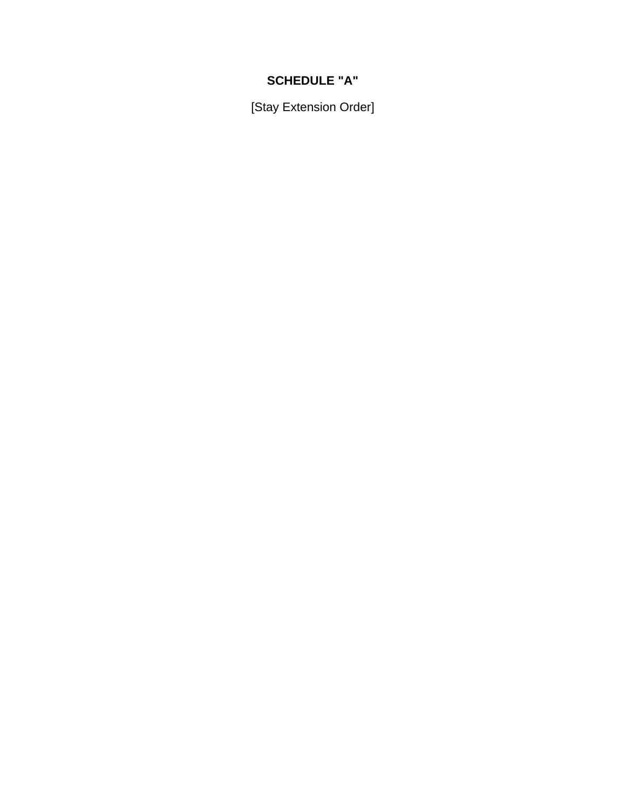# **SCHEDULE "A"**

[Stay Extension Order]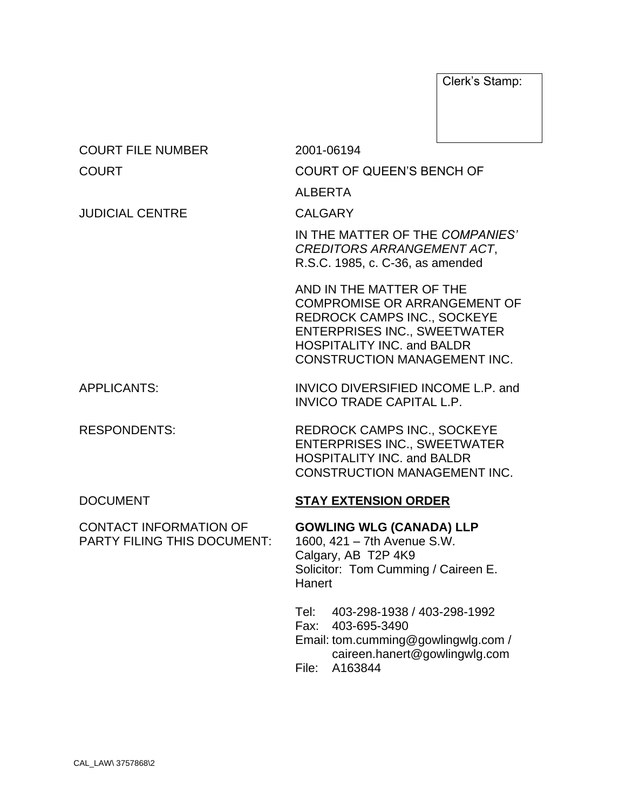Clerk's Stamp:

| <b>COURT FILE NUMBER</b>                                            | 2001-06194                                                                                                                                                                                                               |  |
|---------------------------------------------------------------------|--------------------------------------------------------------------------------------------------------------------------------------------------------------------------------------------------------------------------|--|
| <b>COURT</b>                                                        | <b>COURT OF QUEEN'S BENCH OF</b>                                                                                                                                                                                         |  |
|                                                                     | <b>ALBERTA</b>                                                                                                                                                                                                           |  |
| <b>JUDICIAL CENTRE</b>                                              | <b>CALGARY</b>                                                                                                                                                                                                           |  |
|                                                                     | IN THE MATTER OF THE COMPANIES'<br>CREDITORS ARRANGEMENT ACT,<br>R.S.C. 1985, c. C-36, as amended                                                                                                                        |  |
|                                                                     | AND IN THE MATTER OF THE<br><b>COMPROMISE OR ARRANGEMENT OF</b><br><b>REDROCK CAMPS INC., SOCKEYE</b><br><b>ENTERPRISES INC., SWEETWATER</b><br><b>HOSPITALITY INC. and BALDR</b><br><b>CONSTRUCTION MANAGEMENT INC.</b> |  |
| <b>APPLICANTS:</b>                                                  | INVICO DIVERSIFIED INCOME L.P. and<br><b>INVICO TRADE CAPITAL L.P.</b>                                                                                                                                                   |  |
| <b>RESPONDENTS:</b>                                                 | <b>REDROCK CAMPS INC., SOCKEYE</b><br><b>ENTERPRISES INC., SWEETWATER</b><br><b>HOSPITALITY INC. and BALDR</b><br><b>CONSTRUCTION MANAGEMENT INC.</b>                                                                    |  |
| <b>DOCUMENT</b>                                                     | <b>STAY EXTENSION ORDER</b>                                                                                                                                                                                              |  |
| <b>CONTACT INFORMATION OF</b><br><b>PARTY FILING THIS DOCUMENT:</b> | <b>GOWLING WLG (CANADA) LLP</b><br>1600, 421 - 7th Avenue S.W.<br>Calgary, AB T2P 4K9<br>Solicitor: Tom Cumming / Caireen E.<br>Hanert                                                                                   |  |
|                                                                     | 403-298-1938 / 403-298-1992<br>Tel:<br>Fax: 403-695-3490<br>Email: tom.cumming@gowlingwlg.com /<br>caireen.hanert@gowlingwlg.com<br>File:<br>A163844                                                                     |  |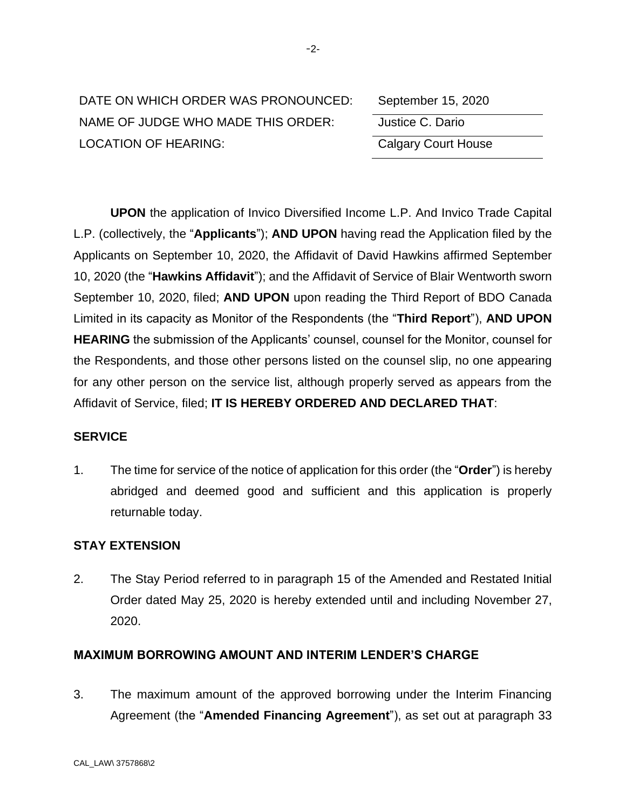| DATE ON WHICH ORDER WAS PRONOUNCED: | September 15, 2020         |
|-------------------------------------|----------------------------|
| NAME OF JUDGE WHO MADE THIS ORDER:  | Justice C. Dario           |
| <b>LOCATION OF HEARING:</b>         | <b>Calgary Court House</b> |

| September 15, 2020         |  |
|----------------------------|--|
| Justice C. Dario           |  |
| <b>Calgary Court House</b> |  |

**UPON** the application of Invico Diversified Income L.P. And Invico Trade Capital L.P. (collectively, the "**Applicants**"); **AND UPON** having read the Application filed by the Applicants on September 10, 2020, the Affidavit of David Hawkins affirmed September 10, 2020 (the "**Hawkins Affidavit**"); and the Affidavit of Service of Blair Wentworth sworn September 10, 2020, filed; **AND UPON** upon reading the Third Report of BDO Canada Limited in its capacity as Monitor of the Respondents (the "**Third Report**"), **AND UPON HEARING** the submission of the Applicants' counsel, counsel for the Monitor, counsel for the Respondents, and those other persons listed on the counsel slip, no one appearing for any other person on the service list, although properly served as appears from the Affidavit of Service, filed; **IT IS HEREBY ORDERED AND DECLARED THAT**:

## **SERVICE**

1. The time for service of the notice of application for this order (the "**Order**") is hereby abridged and deemed good and sufficient and this application is properly returnable today.

#### **STAY EXTENSION**

2. The Stay Period referred to in paragraph 15 of the Amended and Restated Initial Order dated May 25, 2020 is hereby extended until and including November 27, 2020.

## **MAXIMUM BORROWING AMOUNT AND INTERIM LENDER'S CHARGE**

3. The maximum amount of the approved borrowing under the Interim Financing Agreement (the "**Amended Financing Agreement**"), as set out at paragraph 33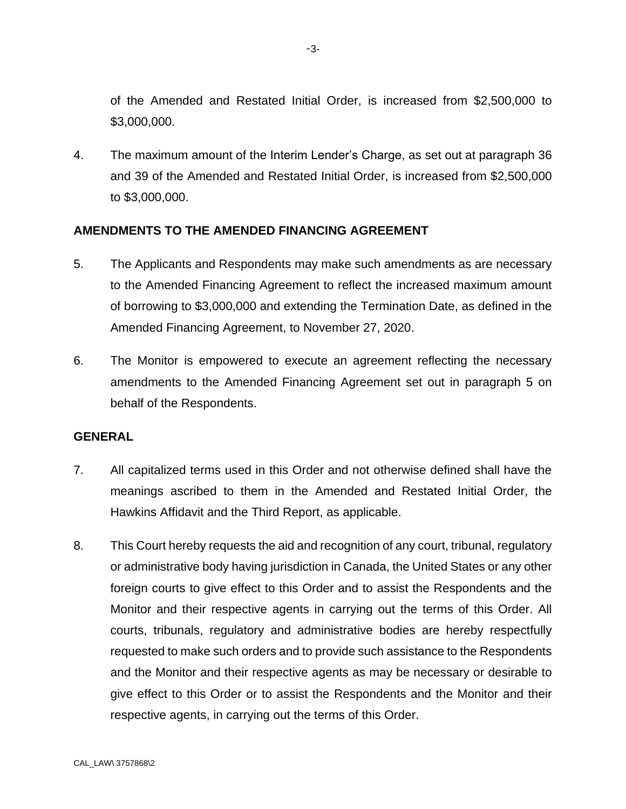of the Amended and Restated Initial Order, is increased from \$2,500,000 to \$3,000,000.

4. The maximum amount of the Interim Lender's Charge, as set out at paragraph 36 and 39 of the Amended and Restated Initial Order, is increased from \$2,500,000 to \$3,000,000.

## **AMENDMENTS TO THE AMENDED FINANCING AGREEMENT**

- 5. The Applicants and Respondents may make such amendments as are necessary to the Amended Financing Agreement to reflect the increased maximum amount of borrowing to \$3,000,000 and extending the Termination Date, as defined in the Amended Financing Agreement, to November 27, 2020.
- 6. The Monitor is empowered to execute an agreement reflecting the necessary amendments to the Amended Financing Agreement set out in paragraph 5 on behalf of the Respondents.

#### **GENERAL**

- 7. All capitalized terms used in this Order and not otherwise defined shall have the meanings ascribed to them in the Amended and Restated Initial Order, the Hawkins Affidavit and the Third Report, as applicable.
- 8. This Court hereby requests the aid and recognition of any court, tribunal, regulatory or administrative body having jurisdiction in Canada, the United States or any other foreign courts to give effect to this Order and to assist the Respondents and the Monitor and their respective agents in carrying out the terms of this Order. All courts, tribunals, regulatory and administrative bodies are hereby respectfully requested to make such orders and to provide such assistance to the Respondents and the Monitor and their respective agents as may be necessary or desirable to give effect to this Order or to assist the Respondents and the Monitor and their respective agents, in carrying out the terms of this Order.